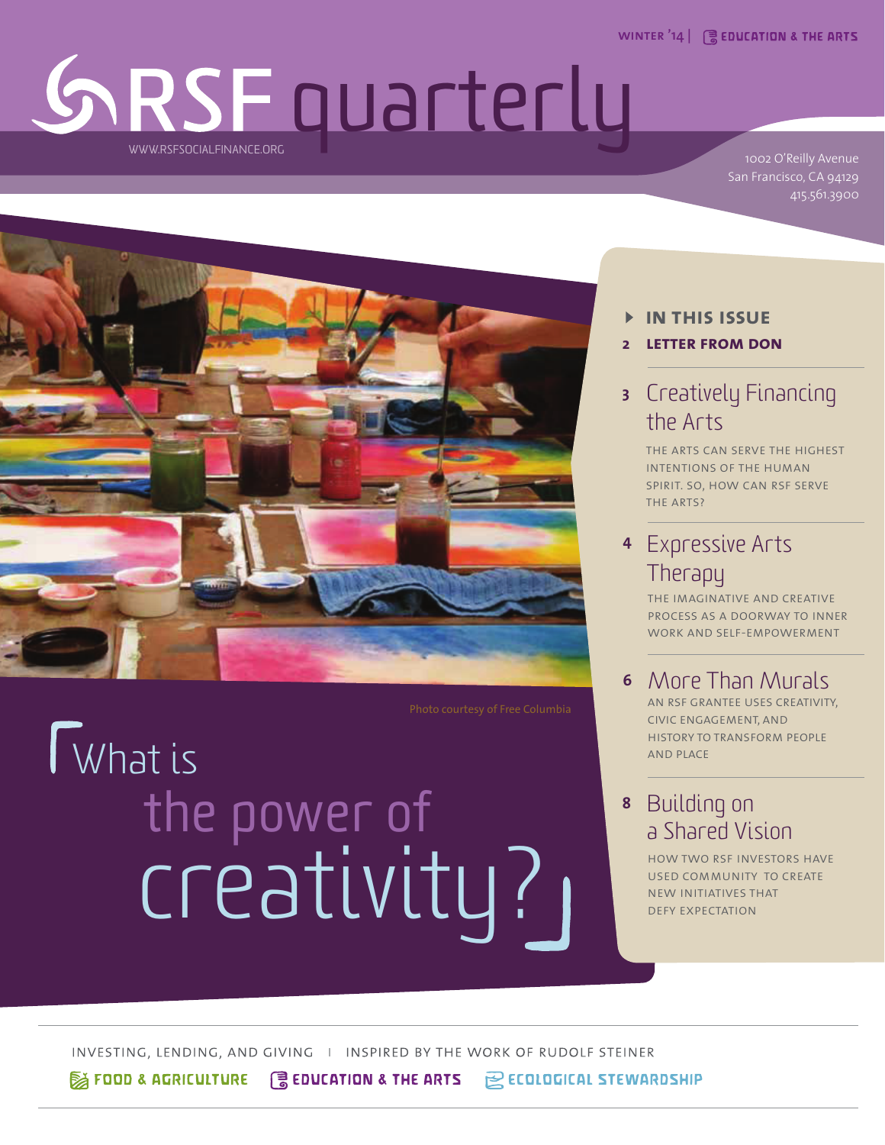# WWW.RSFSOCIALFINANCE.ORG **SRSE quarterly**

1002 O'Reilly Avenue<br>San Francisco, CA 94129  $\frac{1}{4}$ 



**Twhat is** creativity? the power of

- **in this issue**
- **<sup>2</sup> letter from don**
- **3** Creatively Financing the Arts

the arts can serve the highest intentions of the human spirit. so, how can rsf serve THE ARTS?

### **4** Expressive Arts **Therapy**

the imaginative and creative process as a doorway to inner work and self-empowerment

an rsf grantee uses creativity, More Than Murals **6**

civic engagement, and history to transform people and place

## **8** Building on a Shared Vision

how two rsf investors have used community to create new initiatives that defy expectation

INVESTING, LENDING, AND GIVING | INSPIRED BY THE WORK OF RUDOLF STEINER

**SE FOOD & AGRICULTURE BEDUCATION & THE ARTS** 

**ECOLOGICAL STEWARDSHIP**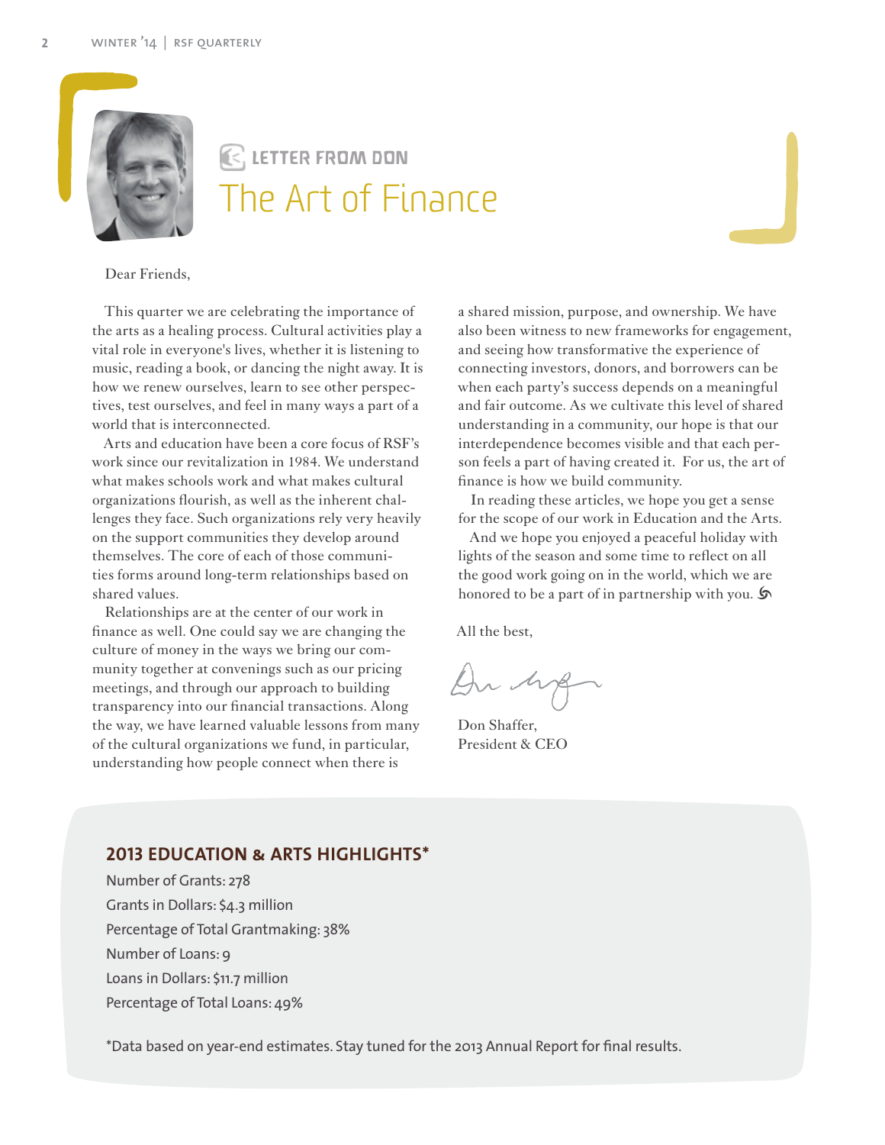

## **LETTER FROM DON** The Art of Finance

Dear Friends,

This quarter we are celebrating the importance of the arts as a healing process. Cultural activities play a vital role in everyone's lives, whether it is listening to music, reading a book, or dancing the night away. It is how we renew ourselves, learn to see other perspectives, test ourselves, and feel in many ways a part of a world that is interconnected.

Arts and education have been a core focus of RSF's work since our revitalization in 1984. We understand what makes schools work and what makes cultural organizations flourish, as well as the inherent challenges they face. Such organizations rely very heavily on the support communities they develop around themselves. The core of each of those communities forms around long-term relationships based on shared values.

Relationships are at the center of our work in finance as well. One could say we are changing the culture of money in the ways we bring our community together at convenings such as our pricing meetings, and through our approach to building transparency into our financial transactions. Along the way, we have learned valuable lessons from many of the cultural organizations we fund, in particular, understanding how people connect when there is

a shared mission, purpose, and ownership. We have also been witness to new frameworks for engagement, and seeing how transformative the experience of connecting investors, donors, and borrowers can be when each party's success depends on a meaningful and fair outcome. As we cultivate this level of shared understanding in a community, our hope is that our interdependence becomes visible and that each person feels a part of having created it. For us, the art of finance is how we build community.

In reading these articles, we hope you get a sense for the scope of our work in Education and the Arts.

And we hope you enjoyed a peaceful holiday with lights of the season and some time to reflect on all the good work going on in the world, which we are honored to be a part of in partnership with you.

All the best,

Don Shaffer, President & CEO

### **2013 EDUCATION & ARTS HIGHLIGHTS\***

Number of Grants: 278 Grants in Dollars: \$4.3 million Percentage of Total Grantmaking: 38% Number of Loans: 9 Loans in Dollars: \$11.7 million Percentage of Total Loans: 49%

\*Data based on year-end estimates. Stay tuned for the 2013 Annual Report for final results.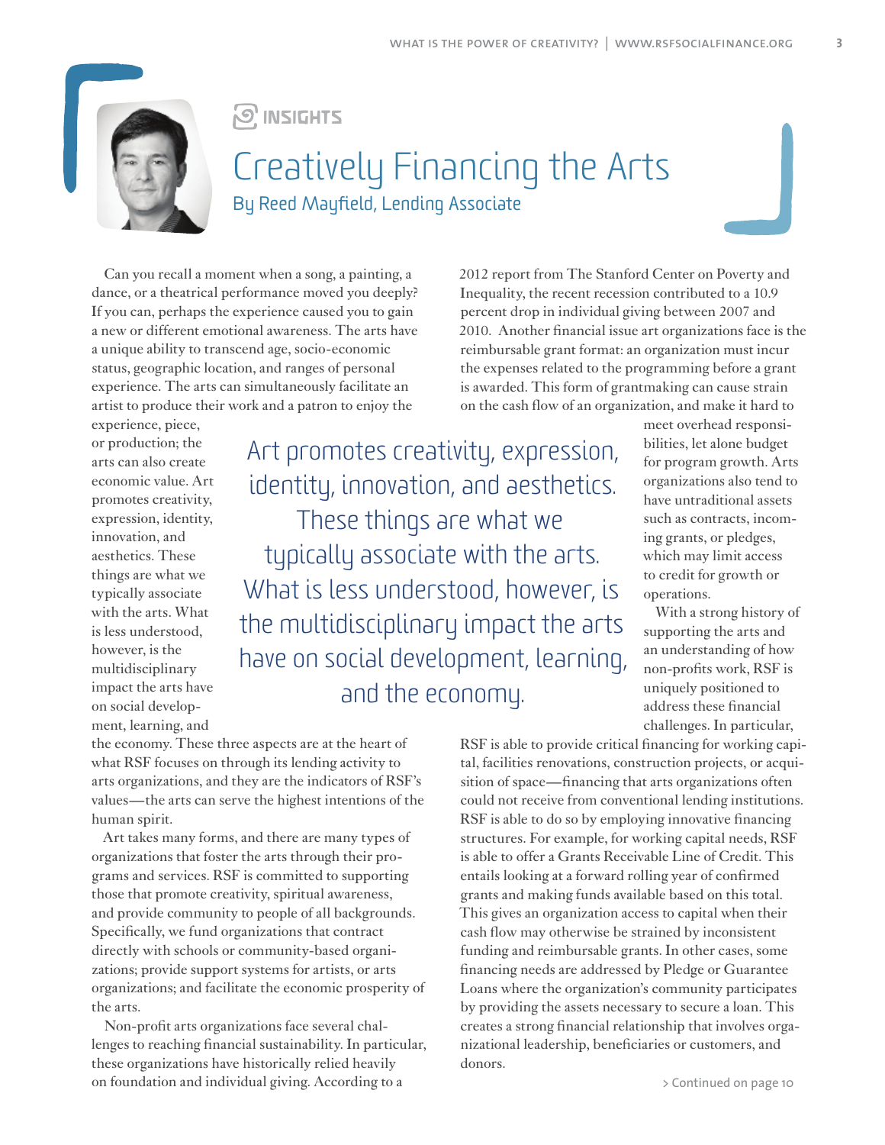

### **INSIGHTS**

## Creatively Financing the Arts By Reed Mayfield, Lending Associate

Can you recall a moment when a song, a painting, a dance, or a theatrical performance moved you deeply? If you can, perhaps the experience caused you to gain a new or different emotional awareness. The arts have a unique ability to transcend age, socio-economic status, geographic location, and ranges of personal experience. The arts can simultaneously facilitate an artist to produce their work and a patron to enjoy the

experience, piece, or production; the arts can also create economic value. Art promotes creativity, expression, identity, innovation, and aesthetics. These things are what we typically associate with the arts. What is less understood, however, is the multidisciplinary impact the arts have on social development, learning, and

Art promotes creativity, expression, identity, innovation, and aesthetics. These things are what we typically associate with the arts.  $\blacksquare$ What is less understood, however, is  $\overline{\phantom{a}}$ multidisciplinary impact the arts the multidisciplinary impact the arts have on social development, learning, and the economy.

the economy. These three aspects are at the heart of what RSF focuses on through its lending activity to arts organizations, and they are the indicators of RSF's values—the arts can serve the highest intentions of the human spirit.

Art takes many forms, and there are many types of organizations that foster the arts through their programs and services. RSF is committed to supporting those that promote creativity, spiritual awareness, and provide community to people of all backgrounds. Specifically, we fund organizations that contract directly with schools or community-based organizations; provide support systems for artists, or arts organizations; and facilitate the economic prosperity of the arts.

Non-profit arts organizations face several challenges to reaching financial sustainability. In particular, these organizations have historically relied heavily on foundation and individual giving. According to a  $\longrightarrow$  Continued on page 10

2012 report from The Stanford Center on Poverty and Inequality, the recent recession contributed to a 10.9 percent drop in individual giving between 2007 and 2010. Another financial issue art organizations face is the reimbursable grant format: an organization must incur the expenses related to the programming before a grant is awarded. This form of grantmaking can cause strain on the cash flow of an organization, and make it hard to

> meet overhead responsibilities, let alone budget for program growth. Arts organizations also tend to have untraditional assets such as contracts, incoming grants, or pledges, which may limit access to credit for growth or operations.

With a strong history of supporting the arts and an understanding of how non-profits work, RSF is uniquely positioned to address these financial challenges. In particular,

RSF is able to provide critical financing for working capital, facilities renovations, construction projects, or acquisition of space—financing that arts organizations often could not receive from conventional lending institutions. RSF is able to do so by employing innovative financing structures. For example, for working capital needs, RSF is able to offer a Grants Receivable Line of Credit. This entails looking at a forward rolling year of confirmed grants and making funds available based on this total. This gives an organization access to capital when their cash flow may otherwise be strained by inconsistent funding and reimbursable grants. In other cases, some financing needs are addressed by Pledge or Guarantee Loans where the organization's community participates by providing the assets necessary to secure a loan. This creates a strong financial relationship that involves organizational leadership, beneficiaries or customers, and donors.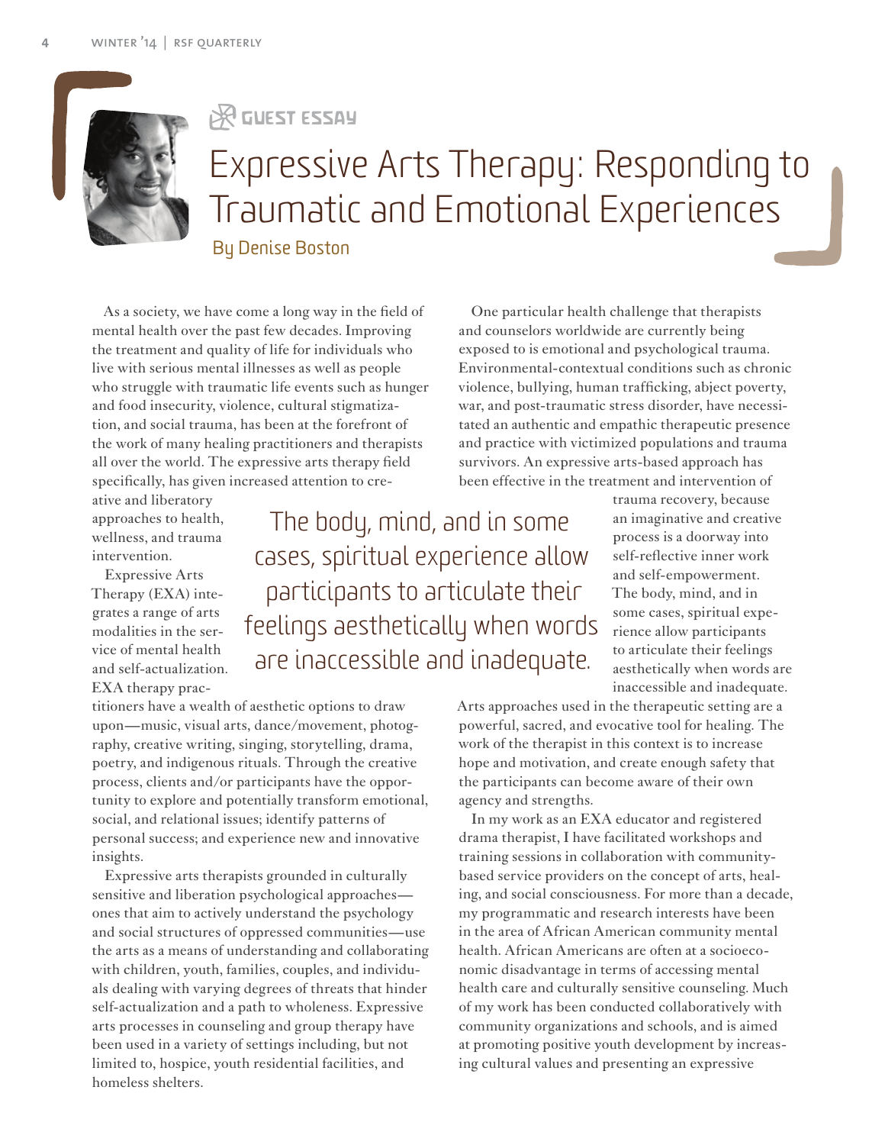

### **GUEST ESSAY**

## Expressive Arts Therapy: Responding to Traumatic and Emotional Experiences By Denise Boston

As a society, we have come a long way in the field of mental health over the past few decades. Improving the treatment and quality of life for individuals who live with serious mental illnesses as well as people who struggle with traumatic life events such as hunger and food insecurity, violence, cultural stigmatization, and social trauma, has been at the forefront of the work of many healing practitioners and therapists all over the world. The expressive arts therapy field specifically, has given increased attention to cre-

ative and liberatory approaches to health, wellness, and trauma intervention.

Expressive Arts Therapy (EXA) integrates a range of arts modalities in the service of mental health and self-actualization. EXA therapy prac-

The body, mind, and in some cases, spiritual experience allow participants to articulate their feelings aesthetically when words are inaccessible and inadequate.

titioners have a wealth of aesthetic options to draw upon—music, visual arts, dance/movement, photography, creative writing, singing, storytelling, drama, poetry, and indigenous rituals. Through the creative process, clients and/or participants have the opportunity to explore and potentially transform emotional, social, and relational issues; identify patterns of personal success; and experience new and innovative insights.

Expressive arts therapists grounded in culturally sensitive and liberation psychological approaches ones that aim to actively understand the psychology and social structures of oppressed communities—use the arts as a means of understanding and collaborating with children, youth, families, couples, and individuals dealing with varying degrees of threats that hinder self-actualization and a path to wholeness. Expressive arts processes in counseling and group therapy have been used in a variety of settings including, but not limited to, hospice, youth residential facilities, and homeless shelters.

One particular health challenge that therapists and counselors worldwide are currently being exposed to is emotional and psychological trauma. Environmental-contextual conditions such as chronic violence, bullying, human trafficking, abject poverty, war, and post-traumatic stress disorder, have necessitated an authentic and empathic therapeutic presence and practice with victimized populations and trauma survivors. An expressive arts-based approach has been effective in the treatment and intervention of

> trauma recovery, because an imaginative and creative process is a doorway into self-reflective inner work and self-empowerment. The body, mind, and in some cases, spiritual experience allow participants to articulate their feelings aesthetically when words are inaccessible and inadequate.

Arts approaches used in the therapeutic setting are a powerful, sacred, and evocative tool for healing. The work of the therapist in this context is to increase hope and motivation, and create enough safety that the participants can become aware of their own agency and strengths.

In my work as an EXA educator and registered drama therapist, I have facilitated workshops and training sessions in collaboration with communitybased service providers on the concept of arts, healing, and social consciousness. For more than a decade, my programmatic and research interests have been in the area of African American community mental health. African Americans are often at a socioeconomic disadvantage in terms of accessing mental health care and culturally sensitive counseling. Much of my work has been conducted collaboratively with community organizations and schools, and is aimed at promoting positive youth development by increasing cultural values and presenting an expressive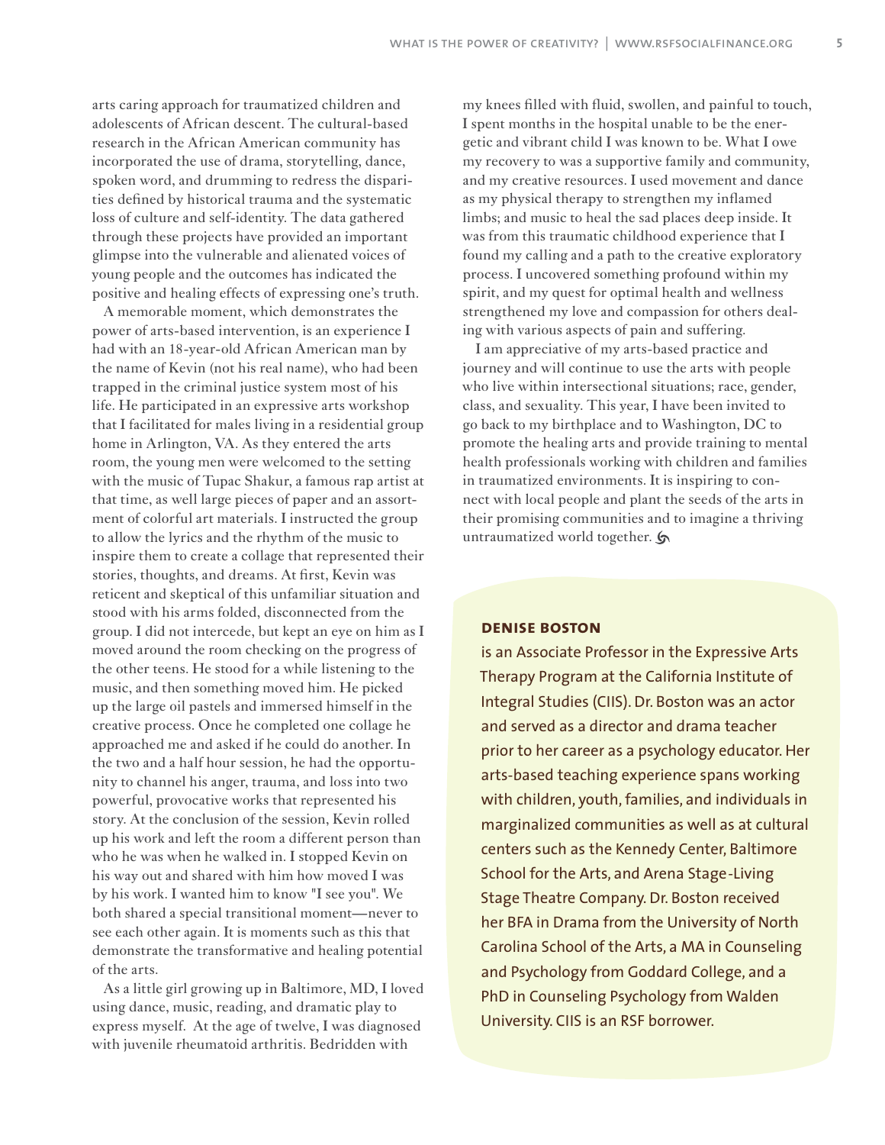arts caring approach for traumatized children and adolescents of African descent. The cultural-based research in the African American community has incorporated the use of drama, storytelling, dance, spoken word, and drumming to redress the disparities defined by historical trauma and the systematic loss of culture and self-identity. The data gathered through these projects have provided an important glimpse into the vulnerable and alienated voices of young people and the outcomes has indicated the positive and healing effects of expressing one's truth.

A memorable moment, which demonstrates the power of arts-based intervention, is an experience I had with an 18-year-old African American man by the name of Kevin (not his real name), who had been trapped in the criminal justice system most of his life. He participated in an expressive arts workshop that I facilitated for males living in a residential group home in Arlington, VA. As they entered the arts room, the young men were welcomed to the setting with the music of Tupac Shakur, a famous rap artist at that time, as well large pieces of paper and an assortment of colorful art materials. I instructed the group to allow the lyrics and the rhythm of the music to inspire them to create a collage that represented their stories, thoughts, and dreams. At first, Kevin was reticent and skeptical of this unfamiliar situation and stood with his arms folded, disconnected from the group. I did not intercede, but kept an eye on him as I moved around the room checking on the progress of the other teens. He stood for a while listening to the music, and then something moved him. He picked up the large oil pastels and immersed himself in the creative process. Once he completed one collage he approached me and asked if he could do another. In the two and a half hour session, he had the opportunity to channel his anger, trauma, and loss into two powerful, provocative works that represented his story. At the conclusion of the session, Kevin rolled up his work and left the room a different person than who he was when he walked in. I stopped Kevin on his way out and shared with him how moved I was by his work. I wanted him to know "I see you". We both shared a special transitional moment—never to see each other again. It is moments such as this that demonstrate the transformative and healing potential of the arts.

As a little girl growing up in Baltimore, MD, I loved using dance, music, reading, and dramatic play to express myself. At the age of twelve, I was diagnosed with juvenile rheumatoid arthritis. Bedridden with

my knees filled with fluid, swollen, and painful to touch, I spent months in the hospital unable to be the energetic and vibrant child I was known to be. What I owe my recovery to was a supportive family and community, and my creative resources. I used movement and dance as my physical therapy to strengthen my inflamed limbs; and music to heal the sad places deep inside. It was from this traumatic childhood experience that I found my calling and a path to the creative exploratory process. I uncovered something profound within my spirit, and my quest for optimal health and wellness strengthened my love and compassion for others dealing with various aspects of pain and suffering.

I am appreciative of my arts-based practice and journey and will continue to use the arts with people who live within intersectional situations; race, gender, class, and sexuality. This year, I have been invited to go back to my birthplace and to Washington, DC to promote the healing arts and provide training to mental health professionals working with children and families in traumatized environments. It is inspiring to connect with local people and plant the seeds of the arts in their promising communities and to imagine a thriving untraumatized world together.

#### **denise boston**

is an Associate Professor in the Expressive Arts Therapy Program at the California Institute of Integral Studies (CIIS). Dr. Boston was an actor and served as a director and drama teacher prior to her career as a psychology educator. Her arts-based teaching experience spans working with children, youth, families, and individuals in marginalized communities as well as at cultural centers such as the Kennedy Center, Baltimore School for the Arts, and Arena Stage-Living Stage Theatre Company. Dr. Boston received her BFA in Drama from the University of North Carolina School of the Arts, a MA in Counseling and Psychology from Goddard College, and a PhD in Counseling Psychology from Walden University. CIIS is an RSF borrower.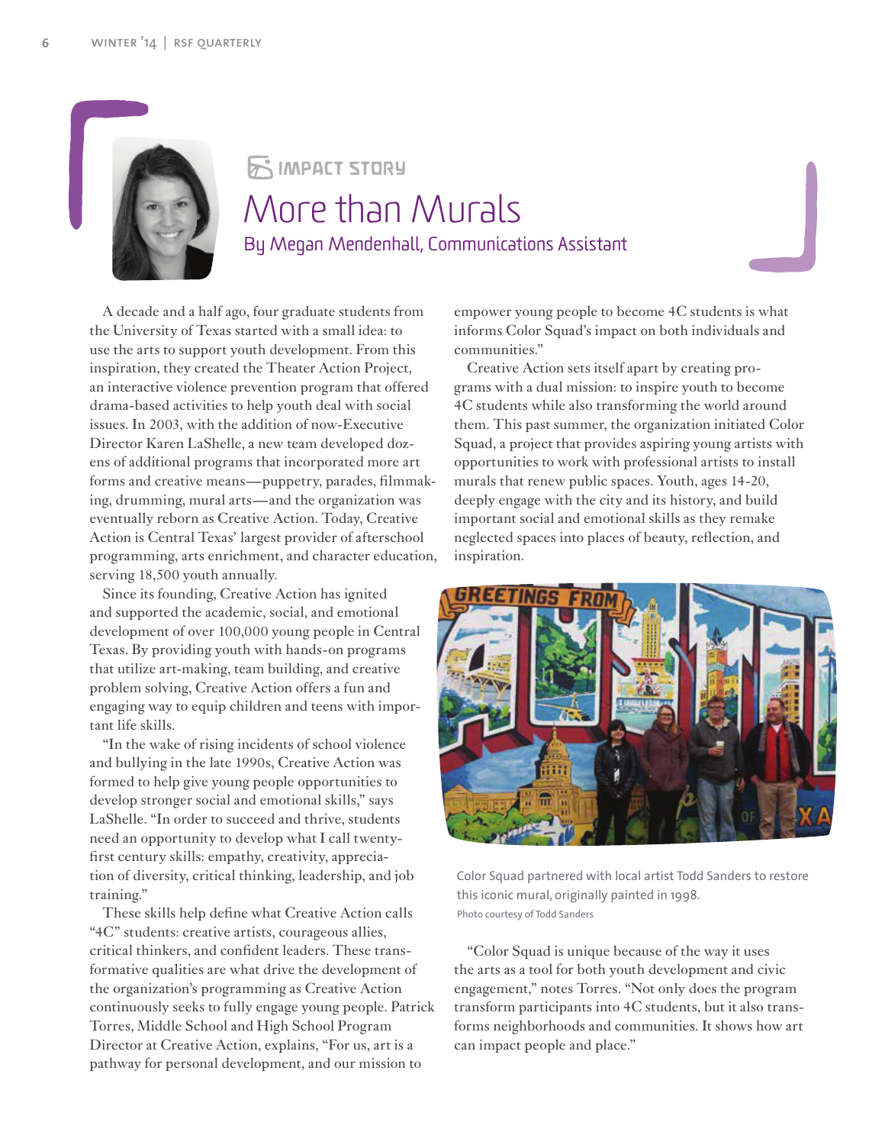

## More than Murals By Megan Mendenhall, Communications Assistant

**IMPACT STORY** 

A decade and a half ago, four graduate students from the University of Texas started with a small idea: to use the arts to support youth development. From this inspiration, they created the Theater Action Project, an interactive violence prevention program that offered drama-based activities to help youth deal with social issues. In 2003, with the addition of now-Executive Director Karen LaShelle, a new team developed dozens of additional programs that incorporated more art forms and creative means—puppetry, parades, filmmaking, drumming, mural arts—and the organization was eventually reborn as Creative Action. Today, Creative Action is Central Texas' largest provider of afterschool programming, arts enrichment, and character education, serving 18,500 youth annually.

Since its founding, Creative Action has ignited and supported the academic, social, and emotional development of over 100,000 young people in Central Texas. By providing youth with hands-on programs that utilize art-making, team building, and creative problem solving, Creative Action offers a fun and engaging way to equip children and teens with important life skills.

"In the wake of rising incidents of school violence and bullying in the late 1990s, Creative Action was formed to help give young people opportunities to develop stronger social and emotional skills," says LaShelle. "In order to succeed and thrive, students need an opportunity to develop what I call twentyfirst century skills: empathy, creativity, appreciation of diversity, critical thinking, leadership, and job training."

These skills help define what Creative Action calls "4C" students: creative artists, courageous allies, critical thinkers, and confident leaders. These transformative qualities are what drive the development of the organization's programming as Creative Action continuously seeks to fully engage young people. Patrick Torres, Middle School and High School Program Director at Creative Action, explains, "For us, art is a pathway for personal development, and our mission to

empower young people to become 4C students is what informs Color Squad's impact on both individuals and communities."

Creative Action sets itself apart by creating programs with a dual mission: to inspire youth to become 4C students while also transforming the world around them. This past summer, the organization initiated Color Squad, a project that provides aspiring young artists with opportunities to work with professional artists to install murals that renew public spaces. Youth, ages 14-20, deeply engage with the city and its history, and build important social and emotional skills as they remake neglected spaces into places of beauty, reflection, and inspiration.



Color Squad partnered with local artist Todd Sanders to restore this iconic mural, originally painted in 1998. Photo courtesy of Todd Sanders

"Color Squad is unique because of the way it uses the arts as a tool for both youth development and civic engagement," notes Torres. "Not only does the program transform participants into 4C students, but it also transforms neighborhoods and communities. It shows how art can impact people and place."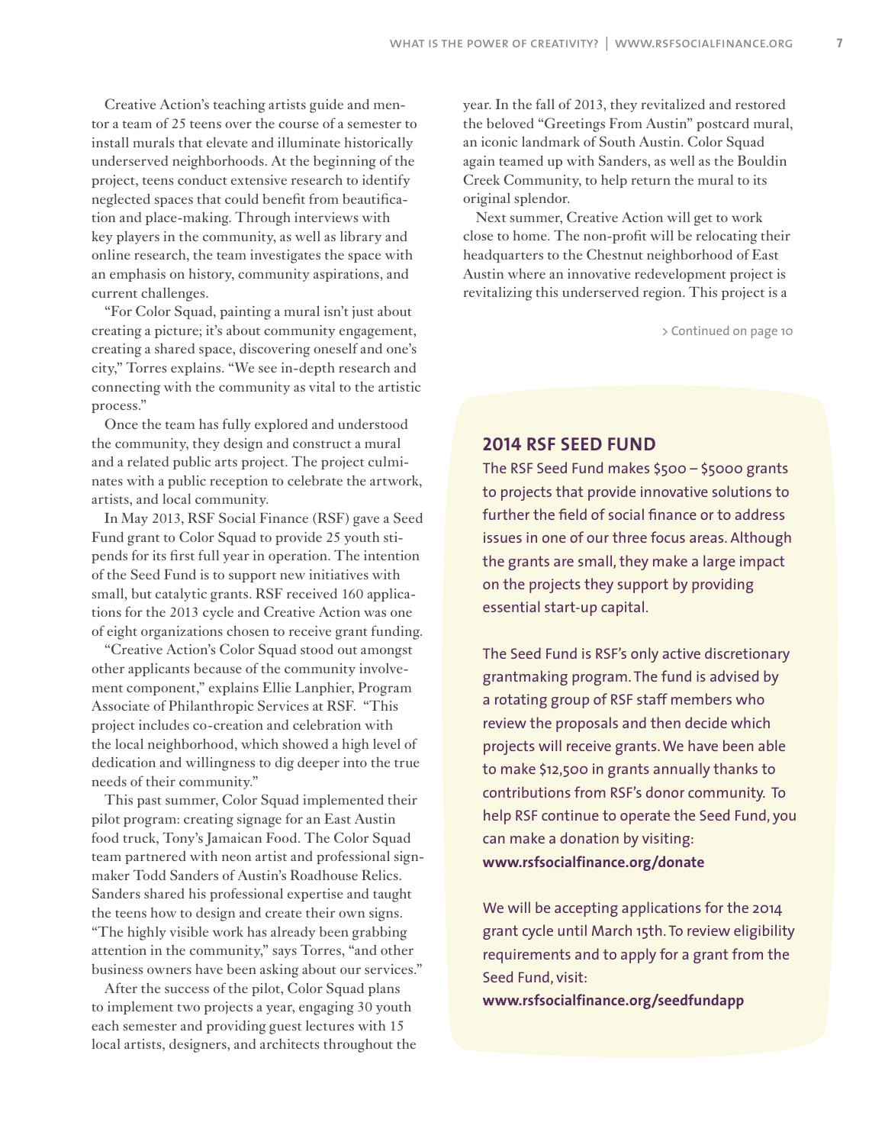Creative Action's teaching artists guide and mentor a team of 25 teens over the course of a semester to install murals that elevate and illuminate historically underserved neighborhoods. At the beginning of the project, teens conduct extensive research to identify neglected spaces that could benefit from beautification and place-making. Through interviews with key players in the community, as well as library and online research, the team investigates the space with an emphasis on history, community aspirations, and current challenges.

"For Color Squad, painting a mural isn't just about creating a picture; it's about community engagement, creating a shared space, discovering oneself and one's city," Torres explains. "We see in-depth research and connecting with the community as vital to the artistic process."

Once the team has fully explored and understood the community, they design and construct a mural and a related public arts project. The project culminates with a public reception to celebrate the artwork, artists, and local community.

In May 2013, RSF Social Finance (RSF) gave a Seed Fund grant to Color Squad to provide 25 youth stipends for its first full year in operation. The intention of the Seed Fund is to support new initiatives with small, but catalytic grants. RSF received 160 applications for the 2013 cycle and Creative Action was one of eight organizations chosen to receive grant funding.

"Creative Action's Color Squad stood out amongst other applicants because of the community involvement component," explains Ellie Lanphier, Program Associate of Philanthropic Services at RSF. "This project includes co-creation and celebration with the local neighborhood, which showed a high level of dedication and willingness to dig deeper into the true needs of their community."

This past summer, Color Squad implemented their pilot program: creating signage for an East Austin food truck, Tony's Jamaican Food. The Color Squad team partnered with neon artist and professional signmaker Todd Sanders of Austin's Roadhouse Relics. Sanders shared his professional expertise and taught the teens how to design and create their own signs. "The highly visible work has already been grabbing attention in the community," says Torres, "and other business owners have been asking about our services."

After the success of the pilot, Color Squad plans to implement two projects a year, engaging 30 youth each semester and providing guest lectures with 15 local artists, designers, and architects throughout the year. In the fall of 2013, they revitalized and restored the beloved "Greetings From Austin" postcard mural, an iconic landmark of South Austin. Color Squad again teamed up with Sanders, as well as the Bouldin Creek Community, to help return the mural to its original splendor.

Next summer, Creative Action will get to work close to home. The non-profit will be relocating their headquarters to the Chestnut neighborhood of East Austin where an innovative redevelopment project is revitalizing this underserved region. This project is a

> Continued on page 10

### **2014 RSF SEED FUND**

The RSF Seed Fund makes \$500 – \$5000 grants to projects that provide innovative solutions to further the field of social finance or to address issues in one of our three focus areas. Although the grants are small, they make a large impact on the projects they support by providing essential start-up capital.

The Seed Fund is RSF's only active discretionary grantmaking program. The fund is advised by a rotating group of RSF staff members who review the proposals and then decide which projects will receive grants. We have been able to make \$12,500 in grants annually thanks to contributions from RSF's donor community. To help RSF continue to operate the Seed Fund, you can make a donation by visiting: **www.rsfsocialfinance.org/donate** 

We will be accepting applications for the 2014 grant cycle until March 15th. To review eligibility requirements and to apply for a grant from the Seed Fund, visit:

**www.rsfsocialfinance.org/seedfundapp**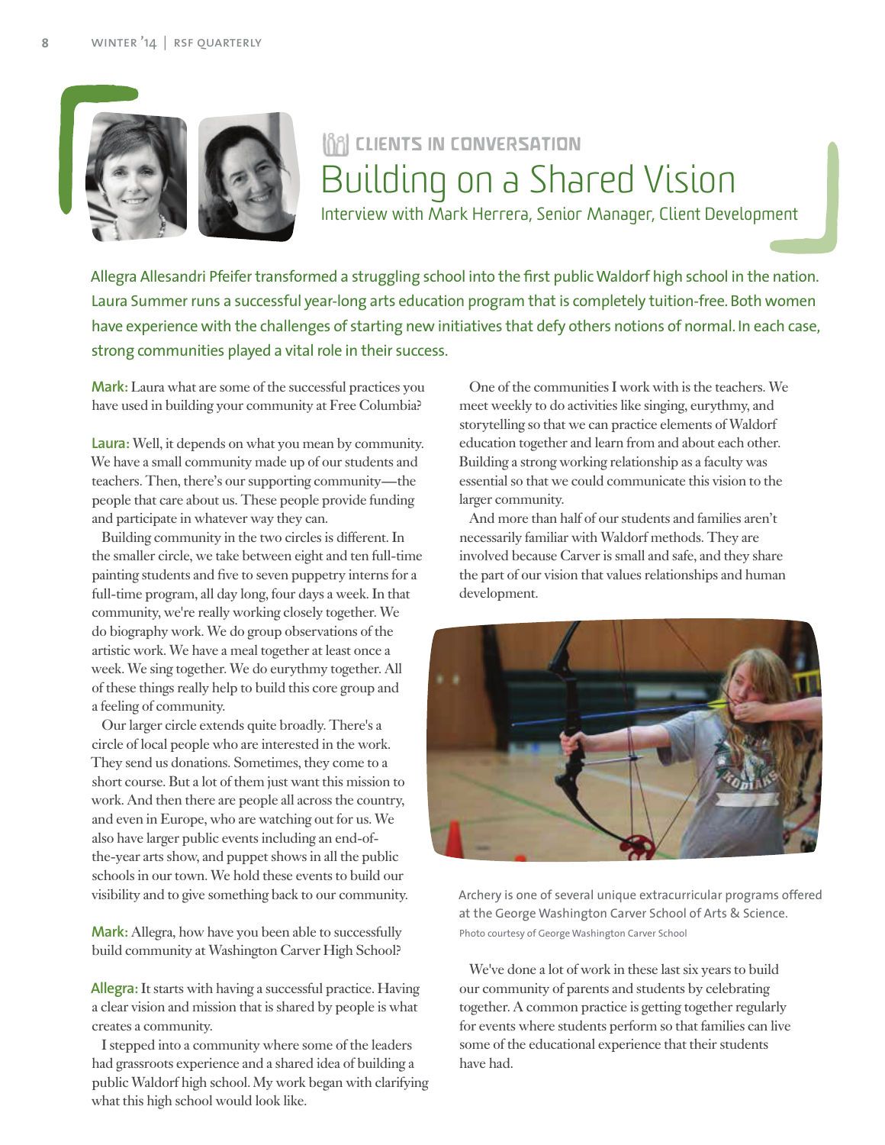

## Building on a Shared Vision *INAI* CLIENTS IN CONVERSATION

Interview with Mark Herrera, Senior Manager, Client Development

Allegra Allesandri Pfeifer transformed a struggling school into the first public Waldorf high school in the nation. Laura Summer runs a successful year-long arts education program that is completely tuition-free. Both women have experience with the challenges of starting new initiatives that defy others notions of normal. In each case, strong communities played a vital role in their success.

**Mark:** Laura what are some of the successful practices you have used in building your community at Free Columbia?

**Laura:** Well, it depends on what you mean by community. We have a small community made up of our students and teachers. Then, there's our supporting community—the people that care about us. These people provide funding and participate in whatever way they can.

 Building community in the two circles is different. In the smaller circle, we take between eight and ten full-time painting students and five to seven puppetry interns for a full-time program, all day long, four days a week. In that community, we're really working closely together. We do biography work. We do group observations of the artistic work. We have a meal together at least once a week. We sing together. We do eurythmy together. All of these things really help to build this core group and a feeling of community.

 Our larger circle extends quite broadly. There's a circle of local people who are interested in the work. They send us donations. Sometimes, they come to a short course. But a lot of them just want this mission to work. And then there are people all across the country, and even in Europe, who are watching out for us. We also have larger public events including an end-ofthe-year arts show, and puppet shows in all the public schools in our town. We hold these events to build our visibility and to give something back to our community.

**Mark:** Allegra, how have you been able to successfully build community at Washington Carver High School?

**Allegra:** It starts with having a successful practice. Having a clear vision and mission that is shared by people is what creates a community.

 I stepped into a community where some of the leaders had grassroots experience and a shared idea of building a public Waldorf high school. My work began with clarifying what this high school would look like.

 One of the communities I work with is the teachers. We meet weekly to do activities like singing, eurythmy, and storytelling so that we can practice elements of Waldorf education together and learn from and about each other. Building a strong working relationship as a faculty was essential so that we could communicate this vision to the larger community.

 And more than half of our students and families aren't necessarily familiar with Waldorf methods. They are involved because Carver is small and safe, and they share the part of our vision that values relationships and human development.



Archery is one of several unique extracurricular programs offered at the George Washington Carver School of Arts & Science. Photo courtesy of George Washington Carver School

 We've done a lot of work in these last six years to build our community of parents and students by celebrating together. A common practice is getting together regularly for events where students perform so that families can live some of the educational experience that their students have had.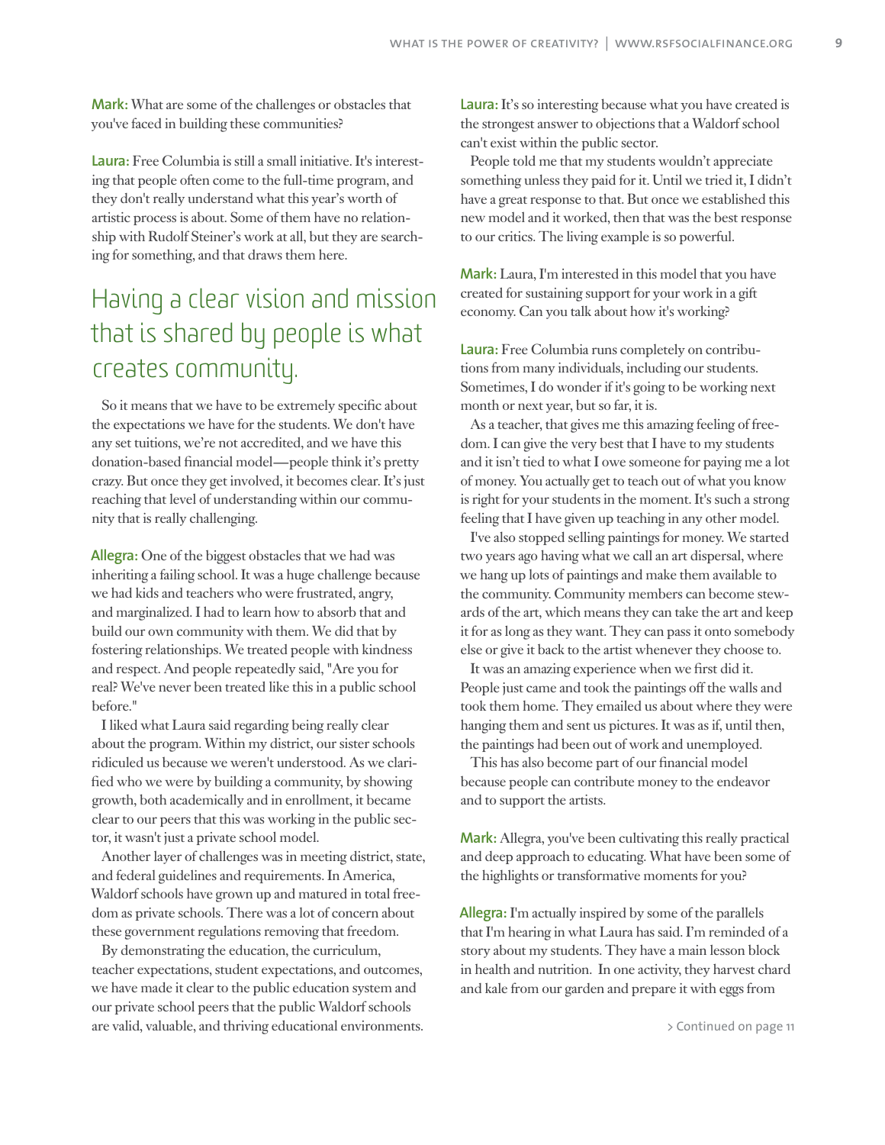**Mark:** What are some of the challenges or obstacles that you've faced in building these communities?

**Laura:** Free Columbia is still a small initiative. It's interesting that people often come to the full-time program, and they don't really understand what this year's worth of artistic process is about. Some of them have no relationship with Rudolf Steiner's work at all, but they are searching for something, and that draws them here.

### Having a clear vision and mission that is shared by people is what creates community. Having a clear vision and mission<br>that is shared by people is what<br>creates community.

 So it means that we have to be extremely specific about the expectations we have for the students. We don't have any set tuitions, we're not accredited, and we have this donation-based financial model—people think it's pretty crazy. But once they get involved, it becomes clear. It's just reaching that level of understanding within our community that is really challenging.

**Allegra:** One of the biggest obstacles that we had was inheriting a failing school. It was a huge challenge because we had kids and teachers who were frustrated, angry, and marginalized. I had to learn how to absorb that and build our own community with them. We did that by fostering relationships. We treated people with kindness and respect. And people repeatedly said, "Are you for real? We've never been treated like this in a public school before."

 I liked what Laura said regarding being really clear about the program. Within my district, our sister schools ridiculed us because we weren't understood. As we clarified who we were by building a community, by showing growth, both academically and in enrollment, it became clear to our peers that this was working in the public sector, it wasn't just a private school model.

 Another layer of challenges was in meeting district, state, and federal guidelines and requirements. In America, Waldorf schools have grown up and matured in total freedom as private schools. There was a lot of concern about these government regulations removing that freedom.

 By demonstrating the education, the curriculum, teacher expectations, student expectations, and outcomes, we have made it clear to the public education system and our private school peers that the public Waldorf schools are valid, valuable, and thriving educational environments. > > Continued on page 11

**Laura:** It's so interesting because what you have created is the strongest answer to objections that a Waldorf school can't exist within the public sector.

 People told me that my students wouldn't appreciate something unless they paid for it. Until we tried it, I didn't have a great response to that. But once we established this new model and it worked, then that was the best response to our critics. The living example is so powerful.

**Mark:** Laura, I'm interested in this model that you have created for sustaining support for your work in a gift economy. Can you talk about how it's working?

**Laura:** Free Columbia runs completely on contributions from many individuals, including our students. Sometimes, I do wonder if it's going to be working next month or next year, but so far, it is.

 As a teacher, that gives me this amazing feeling of freedom. I can give the very best that I have to my students and it isn't tied to what I owe someone for paying me a lot of money. You actually get to teach out of what you know is right for your students in the moment. It's such a strong feeling that I have given up teaching in any other model.

 I've also stopped selling paintings for money. We started two years ago having what we call an art dispersal, where we hang up lots of paintings and make them available to the community. Community members can become stewards of the art, which means they can take the art and keep it for as long as they want. They can pass it onto somebody else or give it back to the artist whenever they choose to.

 It was an amazing experience when we first did it. People just came and took the paintings off the walls and took them home. They emailed us about where they were hanging them and sent us pictures. It was as if, until then, the paintings had been out of work and unemployed.

 This has also become part of our financial model because people can contribute money to the endeavor and to support the artists.

**Mark:** Allegra, you've been cultivating this really practical and deep approach to educating. What have been some of the highlights or transformative moments for you?

**Allegra:** I'm actually inspired by some of the parallels that I'm hearing in what Laura has said. I'm reminded of a story about my students. They have a main lesson block in health and nutrition. In one activity, they harvest chard and kale from our garden and prepare it with eggs from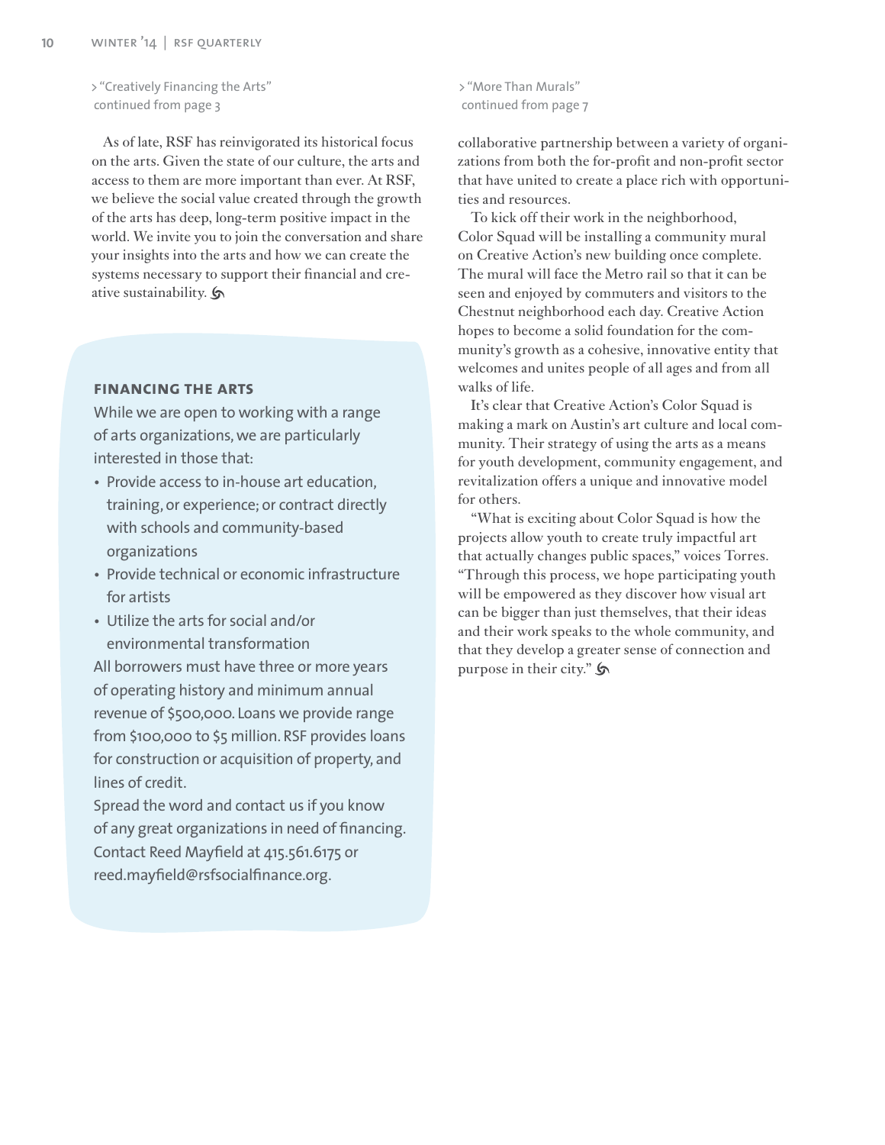> "Creatively Financing the Arts" continued from page 3

As of late, RSF has reinvigorated its historical focus on the arts. Given the state of our culture, the arts and access to them are more important than ever. At RSF, we believe the social value created through the growth of the arts has deep, long-term positive impact in the world. We invite you to join the conversation and share your insights into the arts and how we can create the systems necessary to support their financial and creative sustainability.  $\oint$ 

### **financing the arts**

While we are open to working with a range of arts organizations, we are particularly interested in those that:

- Provide access to in-house art education, training, or experience; or contract directly with schools and community-based organizations
- Provide technical or economic infrastructure for artists
- Utilize the arts for social and/or environmental transformation

All borrowers must have three or more years of operating history and minimum annual revenue of \$500,000. Loans we provide range from \$100,000 to \$5 million. RSF provides loans for construction or acquisition of property, and lines of credit.

Spread the word and contact us if you know of any great organizations in need of financing. Contact Reed Mayfield at 415.561.6175 or reed.mayfield@rsfsocialfinance.org.

> "More Than Murals" continued from page 7

collaborative partnership between a variety of organizations from both the for-profit and non-profit sector that have united to create a place rich with opportunities and resources.

To kick off their work in the neighborhood, Color Squad will be installing a community mural on Creative Action's new building once complete. The mural will face the Metro rail so that it can be seen and enjoyed by commuters and visitors to the Chestnut neighborhood each day. Creative Action hopes to become a solid foundation for the community's growth as a cohesive, innovative entity that welcomes and unites people of all ages and from all walks of life.

It's clear that Creative Action's Color Squad is making a mark on Austin's art culture and local community. Their strategy of using the arts as a means for youth development, community engagement, and revitalization offers a unique and innovative model for others.

"What is exciting about Color Squad is how the projects allow youth to create truly impactful art that actually changes public spaces," voices Torres. "Through this process, we hope participating youth will be empowered as they discover how visual art can be bigger than just themselves, that their ideas and their work speaks to the whole community, and that they develop a greater sense of connection and purpose in their city."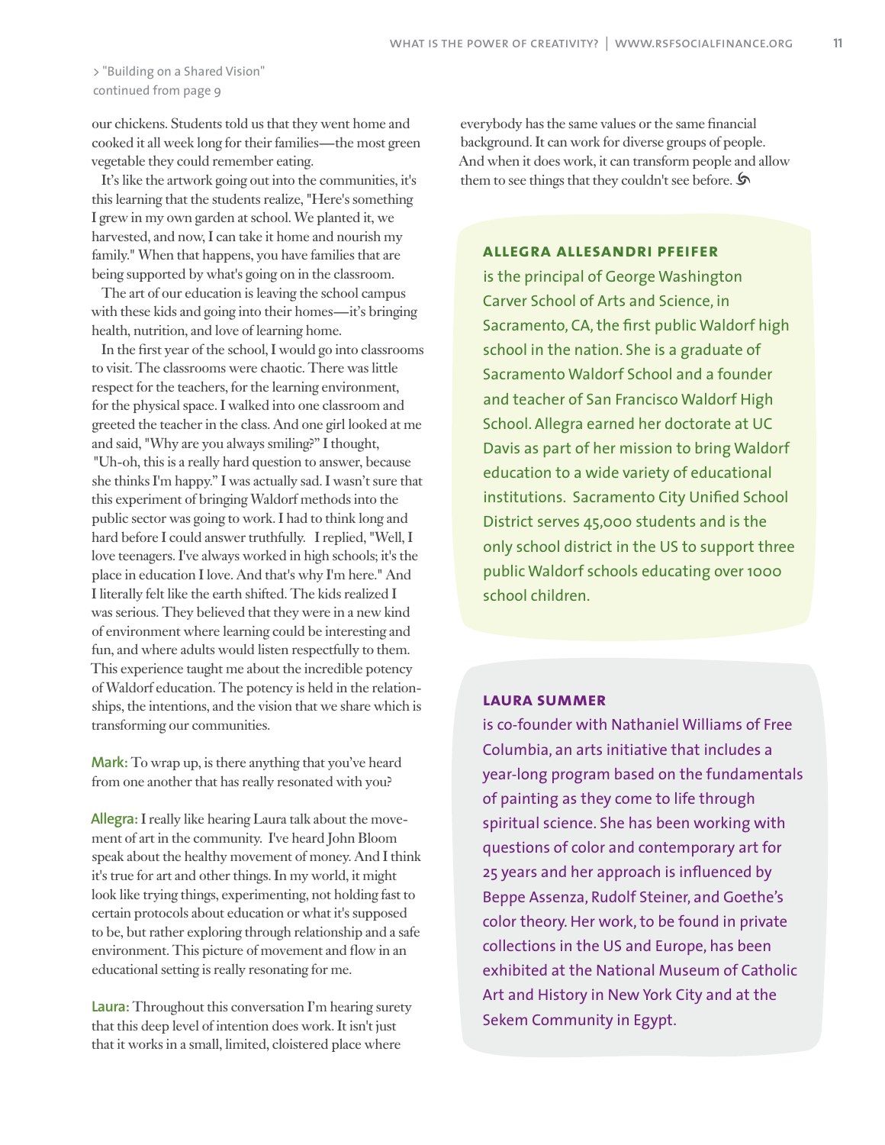> "Building on a Shared Vision" continued from page 9

our chickens. Students told us that they went home and cooked it all week long for their families—the most green vegetable they could remember eating.

 It's like the artwork going out into the communities, it's this learning that the students realize, "Here's something I grew in my own garden at school. We planted it, we harvested, and now, I can take it home and nourish my family." When that happens, you have families that are being supported by what's going on in the classroom.

 The art of our education is leaving the school campus with these kids and going into their homes—it's bringing health, nutrition, and love of learning home.

 In the first year of the school, I would go into classrooms to visit. The classrooms were chaotic. There was little respect for the teachers, for the learning environment, for the physical space. I walked into one classroom and greeted the teacher in the class. And one girl looked at me and said, "Why are you always smiling?" I thought, "Uh-oh, this is a really hard question to answer, because she thinks I'm happy." I was actually sad. I wasn't sure that this experiment of bringing Waldorf methods into the public sector was going to work. I had to think long and hard before I could answer truthfully. I replied, "Well, I love teenagers. I've always worked in high schools; it's the place in education I love. And that's why I'm here." And I literally felt like the earth shifted. The kids realized I was serious. They believed that they were in a new kind of environment where learning could be interesting and fun, and where adults would listen respectfully to them. This experience taught me about the incredible potency of Waldorf education. The potency is held in the relationships, the intentions, and the vision that we share which is transforming our communities.

**Mark:** To wrap up, is there anything that you've heard from one another that has really resonated with you?

**Allegra:** I really like hearing Laura talk about the movement of art in the community. I've heard John Bloom speak about the healthy movement of money. And I think it's true for art and other things. In my world, it might look like trying things, experimenting, not holding fast to certain protocols about education or what it's supposed to be, but rather exploring through relationship and a safe environment. This picture of movement and flow in an educational setting is really resonating for me.

**Laura:** Throughout this conversation I'm hearing surety that this deep level of intention does work. It isn't just that it works in a small, limited, cloistered place where

everybody has the same values or the same financial background. It can work for diverse groups of people. And when it does work, it can transform people and allow them to see things that they couldn't see before.

#### **allegra allesandri pfeifer**

is the principal of George Washington Carver School of Arts and Science, in Sacramento, CA, the first public Waldorf high school in the nation. She is a graduate of Sacramento Waldorf School and a founder and teacher of San Francisco Waldorf High School. Allegra earned her doctorate at UC Davis as part of her mission to bring Waldorf education to a wide variety of educational institutions. Sacramento City Unified School District serves 45,000 students and is the only school district in the US to support three public Waldorf schools educating over 1000 school children.

#### **laura summer**

is co-founder with Nathaniel Williams of Free Columbia, an arts initiative that includes a year-long program based on the fundamentals of painting as they come to life through spiritual science. She has been working with questions of color and contemporary art for 25 years and her approach is influenced by Beppe Assenza, Rudolf Steiner, and Goethe's color theory. Her work, to be found in private collections in the US and Europe, has been exhibited at the National Museum of Catholic Art and History in New York City and at the Sekem Community in Egypt.